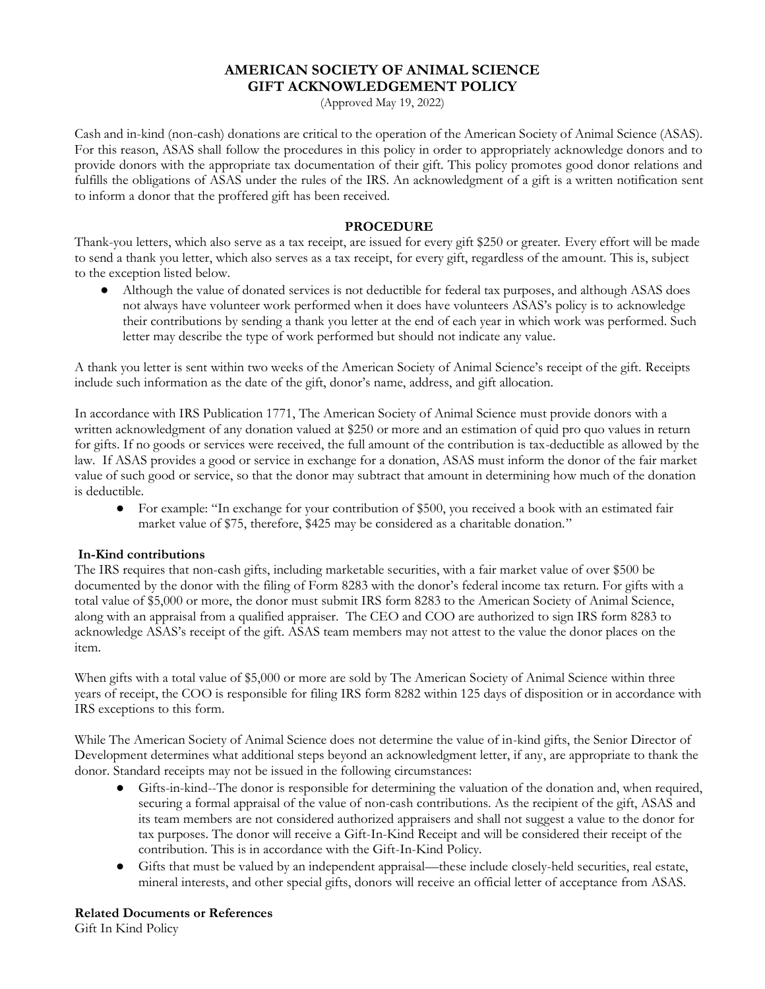# **AMERICAN SOCIETY OF ANIMAL SCIENCE GIFT ACKNOWLEDGEMENT POLICY**

(Approved May 19, 2022)

Cash and in-kind (non-cash) donations are critical to the operation of the American Society of Animal Science (ASAS). For this reason, ASAS shall follow the procedures in this policy in order to appropriately acknowledge donors and to provide donors with the appropriate tax documentation of their gift. This policy promotes good donor relations and fulfills the obligations of ASAS under the rules of the IRS. An acknowledgment of a gift is a written notification sent to inform a donor that the proffered gift has been received.

## **PROCEDURE**

Thank-you letters, which also serve as a tax receipt, are issued for every gift \$250 or greater. Every effort will be made to send a thank you letter, which also serves as a tax receipt, for every gift, regardless of the amount. This is, subject to the exception listed below.

Although the value of donated services is not deductible for federal tax purposes, and although ASAS does not always have volunteer work performed when it does have volunteers ASAS's policy is to acknowledge their contributions by sending a thank you letter at the end of each year in which work was performed. Such letter may describe the type of work performed but should not indicate any value.

A thank you letter is sent within two weeks of the American Society of Animal Science's receipt of the gift. Receipts include such information as the date of the gift, donor's name, address, and gift allocation.

In accordance with IRS Publication 1771, The American Society of Animal Science must provide donors with a written acknowledgment of any donation valued at \$250 or more and an estimation of quid pro quo values in return for gifts. If no goods or services were received, the full amount of the contribution is tax-deductible as allowed by the law. If ASAS provides a good or service in exchange for a donation, ASAS must inform the donor of the fair market value of such good or service, so that the donor may subtract that amount in determining how much of the donation is deductible.

● For example: "In exchange for your contribution of \$500, you received a book with an estimated fair market value of \$75, therefore, \$425 may be considered as a charitable donation."

### **In-Kind contributions**

The IRS requires that non-cash gifts, including marketable securities, with a fair market value of over \$500 be documented by the donor with the filing of Form 8283 with the donor's federal income tax return. For gifts with a total value of \$5,000 or more, the donor must submit IRS form 8283 to the American Society of Animal Science, along with an appraisal from a qualified appraiser. The CEO and COO are authorized to sign IRS form 8283 to acknowledge ASAS's receipt of the gift. ASAS team members may not attest to the value the donor places on the item.

When gifts with a total value of \$5,000 or more are sold by The American Society of Animal Science within three years of receipt, the COO is responsible for filing IRS form 8282 within 125 days of disposition or in accordance with IRS exceptions to this form.

While The American Society of Animal Science does not determine the value of in-kind gifts, the Senior Director of Development determines what additional steps beyond an acknowledgment letter, if any, are appropriate to thank the donor. Standard receipts may not be issued in the following circumstances:

- Gifts-in-kind--The donor is responsible for determining the valuation of the donation and, when required, securing a formal appraisal of the value of non-cash contributions. As the recipient of the gift, ASAS and its team members are not considered authorized appraisers and shall not suggest a value to the donor for tax purposes. The donor will receive a Gift-In-Kind Receipt and will be considered their receipt of the contribution. This is in accordance with the Gift-In-Kind Policy.
- Gifts that must be valued by an independent appraisal—these include closely-held securities, real estate, mineral interests, and other special gifts, donors will receive an official letter of acceptance from ASAS.

#### **Related Documents or References**

Gift In Kind Policy